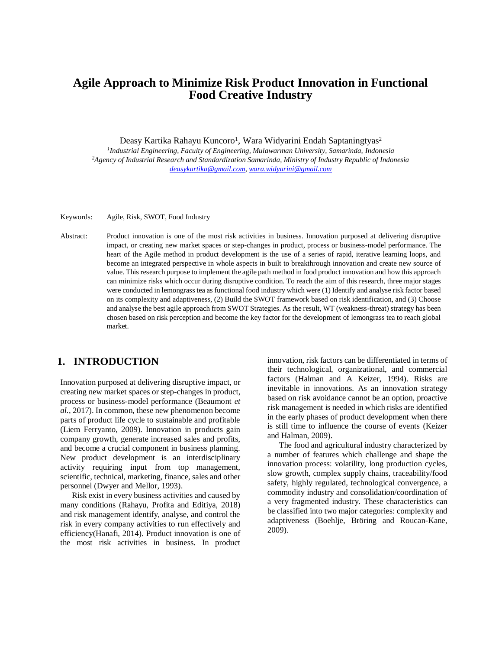# **Agile Approach to Minimize Risk Product Innovation in Functional Food Creative Industry**

Deasy Kartika Rahayu Kuncoro<sup>1</sup>, Wara Widyarini Endah Saptaningtyas<sup>2</sup>

*1 Industrial Engineering, Faculty of Engineering, Mulawarman University, Samarinda, Indonesia <sup>2</sup>Agency of Industrial Research and Standardization Samarinda, Ministry of Industry Republic of Indonesia [deasykartika@gmail.com,](mailto:deasykartika@gmail.com) [wara.widyarini@gmail.com](mailto:wara.widyarini@gmail.com)*

Keywords: Agile, Risk, SWOT, Food Industry

Abstract: Product innovation is one of the most risk activities in business. Innovation purposed at delivering disruptive impact, or creating new market spaces or step-changes in product, process or business-model performance. The heart of the Agile method in product development is the use of a series of rapid, iterative learning loops, and become an integrated perspective in whole aspects in built to breakthrough innovation and create new source of value. This research purpose to implement the agile path method in food product innovation and how this approach can minimize risks which occur during disruptive condition. To reach the aim of this research, three major stages were conducted in lemongrass tea as functional food industry which were (1) Identify and analyse risk factor based on its complexity and adaptiveness, (2) Build the SWOT framework based on risk identification, and (3) Choose and analyse the best agile approach from SWOT Strategies. As the result, WT (weakness-threat) strategy has been chosen based on risk perception and become the key factor for the development of lemongrass tea to reach global market.

## **1. INTRODUCTION**

Innovation purposed at delivering disruptive impact, or creating new market spaces or step-changes in product, process or business-model performance (Beaumont *et al.*, 2017). In common, these new phenomenon become parts of product life cycle to sustainable and profitable (Liem Ferryanto, 2009). Innovation in products gain company growth, generate increased sales and profits, and become a crucial component in business planning. New product development is an interdisciplinary activity requiring input from top management, scientific, technical, marketing, finance, sales and other personnel (Dwyer and Mellor, 1993).

Risk exist in every business activities and caused by many conditions (Rahayu, Profita and Editiya, 2018) and risk management identify, analyse, and control the risk in every company activities to run effectively and efficiency(Hanafi, 2014). Product innovation is one of the most risk activities in business. In product innovation, risk factors can be differentiated in terms of their technological, organizational, and commercial factors (Halman and A Keizer, 1994). Risks are inevitable in innovations. As an innovation strategy based on risk avoidance cannot be an option, proactive risk management is needed in which risks are identified in the early phases of product development when there is still time to influence the course of events (Keizer and Halman, 2009).

The food and agricultural industry characterized by a number of features which challenge and shape the innovation process: volatility, long production cycles, slow growth, complex supply chains, traceability/food safety, highly regulated, technological convergence, a commodity industry and consolidation/coordination of a very fragmented industry. These characteristics can be classified into two major categories: complexity and adaptiveness (Boehlje, Bröring and Roucan-Kane, 2009).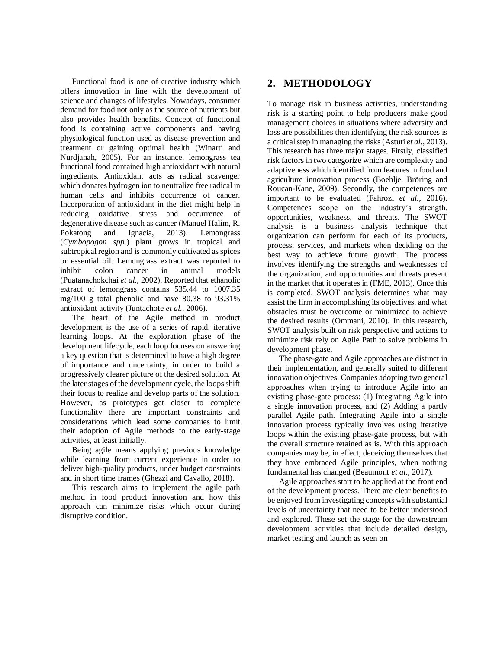Functional food is one of creative industry which offers innovation in line with the development of science and changes of lifestyles. Nowadays, consumer demand for food not only as the source of nutrients but also provides health benefits. Concept of functional food is containing active components and having physiological function used as disease prevention and treatment or gaining optimal health (Winarti and Nurdjanah, 2005). For an instance, lemongrass tea functional food contained high antioxidant with natural ingredients. Antioxidant acts as radical scavenger which donates hydrogen ion to neutralize free radical in human cells and inhibits occurrence of cancer. Incorporation of antioxidant in the diet might help in reducing oxidative stress and occurrence of degenerative disease such as cancer (Manuel Halim, R. Pokatong and Ignacia, 2013). Lemongrass (*Cymbopogon spp*.) plant grows in tropical and subtropical region and is commonly cultivated as spices or essential oil. Lemongrass extract was reported to inhibit colon cancer in animal models (Puatanachokchai *et al.*, 2002). Reported that ethanolic extract of lemongrass contains 535.44 to 1007.35 mg/100 g total phenolic and have 80.38 to 93.31% antioxidant activity (Juntachote *et al.*, 2006).

The heart of the Agile method in product development is the use of a series of rapid, iterative learning loops. At the exploration phase of the development lifecycle, each loop focuses on answering a key question that is determined to have a high degree of importance and uncertainty, in order to build a progressively clearer picture of the desired solution. At the later stages of the development cycle, the loops shift their focus to realize and develop parts of the solution. However, as prototypes get closer to complete functionality there are important constraints and considerations which lead some companies to limit their adoption of Agile methods to the early-stage activities, at least initially.

Being agile means applying previous knowledge while learning from current experience in order to deliver high-quality products, under budget constraints and in short time frames (Ghezzi and Cavallo, 2018).

This research aims to implement the agile path method in food product innovation and how this approach can minimize risks which occur during disruptive condition.

# **2. METHODOLOGY**

To manage risk in business activities, understanding risk is a starting point to help producers make good management choices in situations where adversity and loss are possibilities then identifying the risk sources is a critical step in managing the risks (Astuti *et al.*, 2013). This research has three major stages. Firstly, classified risk factors in two categorize which are complexity and adaptiveness which identified from features in food and agriculture innovation process (Boehlje, Bröring and Roucan-Kane, 2009). Secondly, the competences are important to be evaluated (Fahrozi *et al.*, 2016). Competences scope on the industry's strength, opportunities, weakness, and threats. The SWOT analysis is a business analysis technique that organization can perform for each of its products, process, services, and markets when deciding on the best way to achieve future growth. The process involves identifying the strengths and weaknesses of the organization, and opportunities and threats present in the market that it operates in (FME, 2013). Once this is completed, SWOT analysis determines what may assist the firm in accomplishing its objectives, and what obstacles must be overcome or minimized to achieve the desired results (Ommani, 2010). In this research, SWOT analysis built on risk perspective and actions to minimize risk rely on Agile Path to solve problems in development phase.

The phase-gate and Agile approaches are distinct in their implementation, and generally suited to different innovation objectives. Companies adopting two general approaches when trying to introduce Agile into an existing phase-gate process: (1) Integrating Agile into a single innovation process, and (2) Adding a partly parallel Agile path. Integrating Agile into a single innovation process typically involves using iterative loops within the existing phase-gate process, but with the overall structure retained as is. With this approach companies may be, in effect, deceiving themselves that they have embraced Agile principles, when nothing fundamental has changed (Beaumont *et al.*, 2017).

Agile approaches start to be applied at the front end of the development process. There are clear benefits to be enjoyed from investigating concepts with substantial levels of uncertainty that need to be better understood and explored. These set the stage for the downstream development activities that include detailed design, market testing and launch as seen on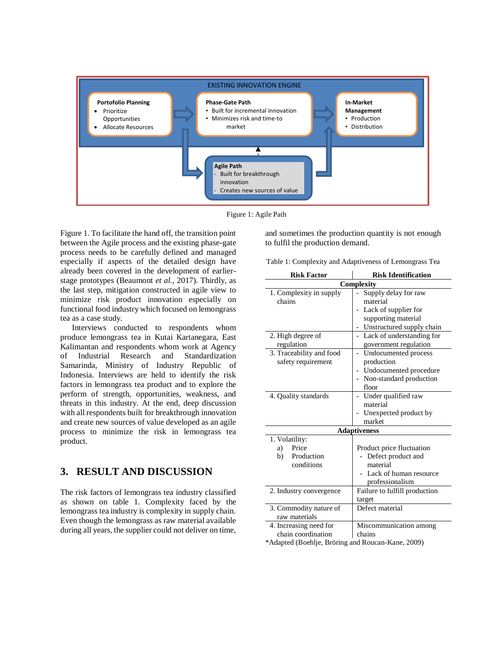

Figure 1: Agile Path

Figure 1. To facilitate the hand off, the transition point between the Agile process and the existing phase-gate process needs to be carefully defined and managed especially if aspects of the detailed design have already been covered in the development of earlierstage prototypes (Beaumont *et al.*, 2017). Thirdly, as the last step, mitigation constructed in agile view to minimize risk product innovation especially on functional food industry which focused on lemongrass tea as a case study.

Interviews conducted to respondents whom produce lemongrass tea in Kutai Kartanegara, East Kalimantan and respondents whom work at Agency of Industrial Research and Standardization Samarinda, Ministry of Industry Republic of Indonesia. Interviews are held to identify the risk factors in lemongrass tea product and to explore the perform of strength, opportunities, weakness, and threats in this industry. At the end, deep discussion with all respondents built for breakthrough innovation and create new sources of value developed as an agile process to minimize the risk in lemongrass tea product.

# **3. RESULT AND DISCUSSION**

The risk factors of lemongrass tea industry classified as shown on table 1. Complexity faced by the lemongrass tea industry is complexity in supply chain. Even though the lemongrass as raw material available during all years, the supplier could not deliver on time,

and sometimes the production quantity is not enough to fulfil the production demand.

Table 1: Complexity and Adaptiveness of Lemongrass Tea

| <b>Risk Factor</b>            | <b>Risk Identification</b>                            |
|-------------------------------|-------------------------------------------------------|
| Complexity                    |                                                       |
| 1. Complexity in supply       | Supply delay for raw                                  |
| chains                        | material                                              |
|                               | Lack of supplier for                                  |
|                               | supporting material                                   |
|                               | Unstructured supply chain<br>$\overline{\phantom{0}}$ |
| 2. High degree of             | Lack of understanding for                             |
| regulation                    | government regulation                                 |
| 3. Traceability and food      | Undocumented process                                  |
| safety requirement            | production                                            |
|                               | Undocumented procedure                                |
|                               | Non-standard production                               |
|                               | floor                                                 |
| 4. Quality standards          | Under qualified raw                                   |
|                               | material                                              |
|                               | Unexpected product by                                 |
|                               | market                                                |
| <b>Adaptiveness</b>           |                                                       |
| 1. Volatility:                |                                                       |
| Price<br>a)                   | Product price fluctuation                             |
| Production<br>b)              | Defect product and                                    |
| conditions                    | material                                              |
|                               | Lack of human resource                                |
|                               | professionalism                                       |
| 2. Industry convergence       | Failure to fulfill production                         |
|                               | target                                                |
| 3. Commodity nature of        | Defect material                                       |
| raw materials                 |                                                       |
| 4. Increasing need for        | Miscommunication among                                |
| chain coordination            | chains                                                |
| $*A$ dented (Deeblis, Defines | $1\text{r}$ anger $V_{\text{max}}$ 2000)              |

\*Adapted (Boehlje, Bröring and Roucan-Kane, 2009)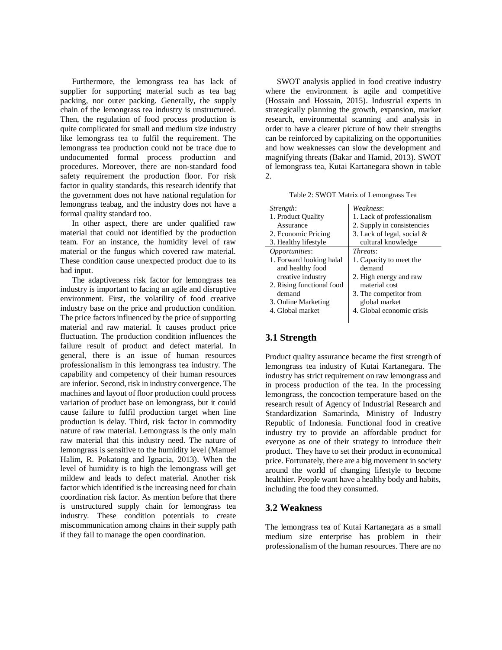Furthermore, the lemongrass tea has lack of supplier for supporting material such as tea bag packing, nor outer packing. Generally, the supply chain of the lemongrass tea industry is unstructured. Then, the regulation of food process production is quite complicated for small and medium size industry like lemongrass tea to fulfil the requirement. The lemongrass tea production could not be trace due to undocumented formal process production and procedures. Moreover, there are non-standard food safety requirement the production floor. For risk factor in quality standards, this research identify that the government does not have national regulation for lemongrass teabag, and the industry does not have a formal quality standard too.

In other aspect, there are under qualified raw material that could not identified by the production team. For an instance, the humidity level of raw material or the fungus which covered raw material. These condition cause unexpected product due to its bad input.

The adaptiveness risk factor for lemongrass tea industry is important to facing an agile and disruptive environment. First, the volatility of food creative industry base on the price and production condition. The price factors influenced by the price of supporting material and raw material. It causes product price fluctuation. The production condition influences the failure result of product and defect material. In general, there is an issue of human resources professionalism in this lemongrass tea industry. The capability and competency of their human resources are inferior. Second, risk in industry convergence. The machines and layout of floor production could process variation of product base on lemongrass, but it could cause failure to fulfil production target when line production is delay. Third, risk factor in commodity nature of raw material. Lemongrass is the only main raw material that this industry need. The nature of lemongrass is sensitive to the humidity level (Manuel Halim, R. Pokatong and Ignacia, 2013). When the level of humidity is to high the lemongrass will get mildew and leads to defect material. Another risk factor which identified is the increasing need for chain coordination risk factor. As mention before that there is unstructured supply chain for lemongrass tea industry. These condition potentials to create miscommunication among chains in their supply path if they fail to manage the open coordination.

SWOT analysis applied in food creative industry where the environment is agile and competitive (Hossain and Hossain, 2015). Industrial experts in strategically planning the growth, expansion, market research, environmental scanning and analysis in order to have a clearer picture of how their strengths can be reinforced by capitalizing on the opportunities and how weaknesses can slow the development and magnifying threats (Bakar and Hamid, 2013). SWOT of lemongrass tea, Kutai Kartanegara shown in table 2.

Table 2: SWOT Matrix of Lemongrass Tea

| <i>Strength:</i>          | Weakness:                    |
|---------------------------|------------------------------|
| 1. Product Quality        | 1. Lack of professionalism   |
| Assurance                 | 2. Supply in consistencies   |
| 2. Economic Pricing       | 3. Lack of legal, social $&$ |
| 3. Healthy lifestyle      | cultural knowledge           |
| <i>Opportunities:</i>     | <i>Threats:</i>              |
| 1. Forward looking halal  | 1. Capacity to meet the      |
| and healthy food          | demand                       |
| creative industry         | 2. High energy and raw       |
| 2. Rising functional food | material cost                |
| demand                    | 3. The competitor from       |
| 3. Online Marketing       | global market                |
| 4. Global market          | 4. Global economic crisis    |
|                           |                              |

#### **3.1 Strength**

Product quality assurance became the first strength of lemongrass tea industry of Kutai Kartanegara. The industry has strict requirement on raw lemongrass and in process production of the tea. In the processing lemongrass, the concoction temperature based on the research result of Agency of Industrial Research and Standardization Samarinda, Ministry of Industry Republic of Indonesia. Functional food in creative industry try to provide an affordable product for everyone as one of their strategy to introduce their product. They have to set their product in economical price. Fortunately, there are a big movement in society around the world of changing lifestyle to become healthier. People want have a healthy body and habits, including the food they consumed.

#### **3.2 Weakness**

The lemongrass tea of Kutai Kartanegara as a small medium size enterprise has problem in their professionalism of the human resources. There are no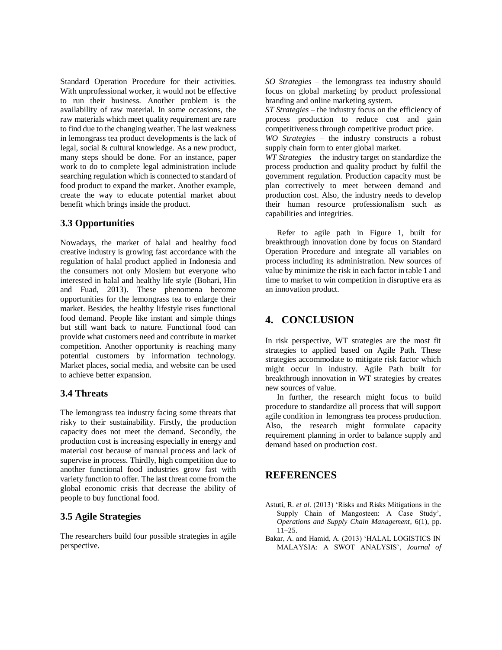Standard Operation Procedure for their activities. With unprofessional worker, it would not be effective to run their business. Another problem is the availability of raw material. In some occasions, the raw materials which meet quality requirement are rare to find due to the changing weather. The last weakness in lemongrass tea product developments is the lack of legal, social & cultural knowledge. As a new product, many steps should be done. For an instance, paper work to do to complete legal administration include searching regulation which is connected to standard of food product to expand the market. Another example, create the way to educate potential market about benefit which brings inside the product.

#### **3.3 Opportunities**

Nowadays, the market of halal and healthy food creative industry is growing fast accordance with the regulation of halal product applied in Indonesia and the consumers not only Moslem but everyone who interested in halal and healthy life style (Bohari, Hin and Fuad, 2013). These phenomena become opportunities for the lemongrass tea to enlarge their market. Besides, the healthy lifestyle rises functional food demand. People like instant and simple things but still want back to nature. Functional food can provide what customers need and contribute in market competition. Another opportunity is reaching many potential customers by information technology. Market places, social media, and website can be used to achieve better expansion.

#### **3.4 Threats**

The lemongrass tea industry facing some threats that risky to their sustainability. Firstly, the production capacity does not meet the demand. Secondly, the production cost is increasing especially in energy and material cost because of manual process and lack of supervise in process. Thirdly, high competition due to another functional food industries grow fast with variety function to offer. The last threat come from the global economic crisis that decrease the ability of people to buy functional food.

#### **3.5 Agile Strategies**

The researchers build four possible strategies in agile perspective.

*SO Strategies* – the lemongrass tea industry should focus on global marketing by product professional branding and online marketing system.

*ST Strategies* – the industry focus on the efficiency of process production to reduce cost and gain competitiveness through competitive product price.

*WO Strategies* – the industry constructs a robust supply chain form to enter global market.

*WT Strategies* – the industry target on standardize the process production and quality product by fulfil the government regulation. Production capacity must be plan correctively to meet between demand and production cost. Also, the industry needs to develop their human resource professionalism such as capabilities and integrities.

Refer to agile path in Figure 1, built for breakthrough innovation done by focus on Standard Operation Procedure and integrate all variables on process including its administration. New sources of value by minimize the risk in each factor in table 1 and time to market to win competition in disruptive era as an innovation product.

### **4. CONCLUSION**

In risk perspective, WT strategies are the most fit strategies to applied based on Agile Path. These strategies accommodate to mitigate risk factor which might occur in industry. Agile Path built for breakthrough innovation in WT strategies by creates new sources of value.

In further, the research might focus to build procedure to standardize all process that will support agile condition in lemongrass tea process production. Also, the research might formulate capacity requirement planning in order to balance supply and demand based on production cost.

## **REFERENCES**

- Astuti, R. *et al.* (2013) 'Risks and Risks Mitigations in the Supply Chain of Mangosteen: A Case Study', *Operations and Supply Chain Management*, 6(1), pp. 11–25.
- Bakar, A. and Hamid, A. (2013) 'HALAL LOGISTICS IN MALAYSIA: A SWOT ANALYSIS', *Journal of*